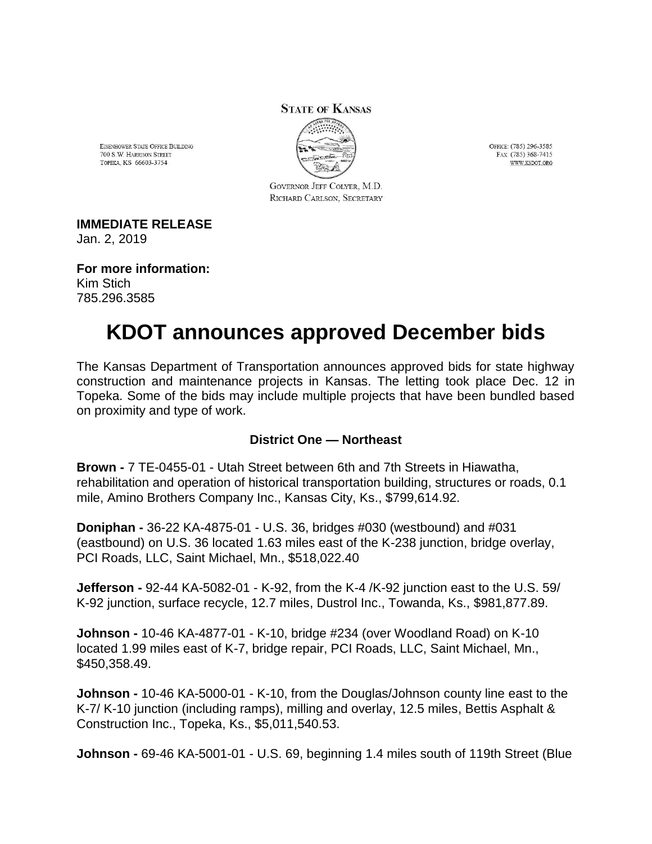#### **STATE OF KANSAS**

EISENHOWER STATE OFFICE BUILDING 700 S.W. HARRISON STREET TOPEKA, KS 66603-3754



GOVERNOR JEFF COLYER, M.D. RICHARD CARLSON, SECRETARY

**IMMEDIATE RELEASE**

Jan. 2, 2019

**For more information:** Kim Stich 785.296.3585

# **KDOT announces approved December bids**

The Kansas Department of Transportation announces approved bids for state highway construction and maintenance projects in Kansas. The letting took place Dec. 12 in Topeka. Some of the bids may include multiple projects that have been bundled based on proximity and type of work.

#### **District One — Northeast**

**Brown -** 7 TE-0455-01 - Utah Street between 6th and 7th Streets in Hiawatha, rehabilitation and operation of historical transportation building, structures or roads, 0.1 mile, Amino Brothers Company Inc., Kansas City, Ks., \$799,614.92.

**Doniphan -** 36-22 KA-4875-01 - U.S. 36, bridges #030 (westbound) and #031 (eastbound) on U.S. 36 located 1.63 miles east of the K-238 junction, bridge overlay, PCI Roads, LLC, Saint Michael, Mn., \$518,022.40

**Jefferson -** 92-44 KA-5082-01 - K-92, from the K-4 /K-92 junction east to the U.S. 59/ K-92 junction, surface recycle, 12.7 miles, Dustrol Inc., Towanda, Ks., \$981,877.89.

**Johnson -** 10-46 KA-4877-01 - K-10, bridge #234 (over Woodland Road) on K-10 located 1.99 miles east of K-7, bridge repair, PCI Roads, LLC, Saint Michael, Mn., \$450,358.49.

**Johnson -** 10-46 KA-5000-01 - K-10, from the Douglas/Johnson county line east to the K-7/ K-10 junction (including ramps), milling and overlay, 12.5 miles, Bettis Asphalt & Construction Inc., Topeka, Ks., \$5,011,540.53.

**Johnson -** 69-46 KA-5001-01 - U.S. 69, beginning 1.4 miles south of 119th Street (Blue

OFFICE: (785) 296-3585 FAX: (785) 368-7415 **WWW KSDOT ORG**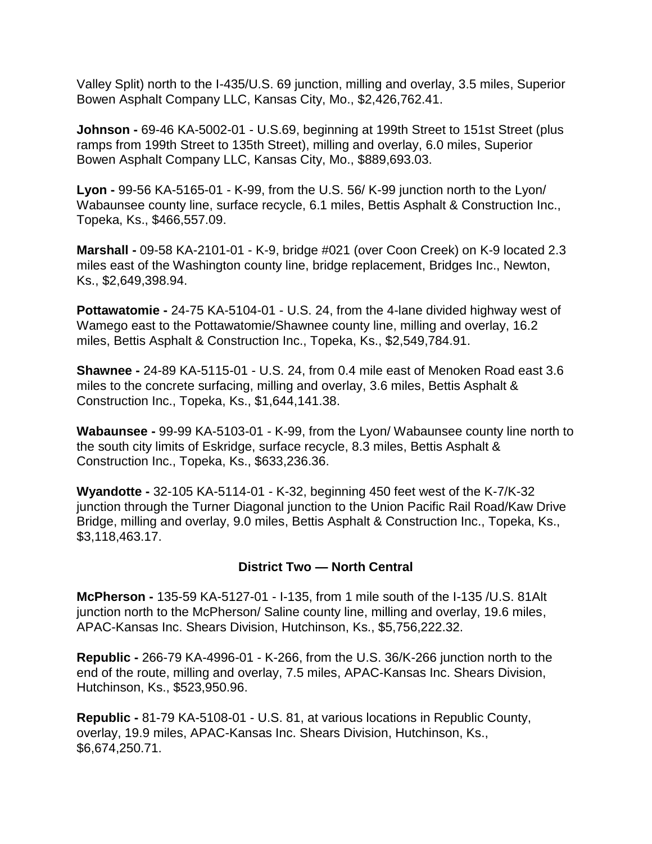Valley Split) north to the I-435/U.S. 69 junction, milling and overlay, 3.5 miles, Superior Bowen Asphalt Company LLC, Kansas City, Mo., \$2,426,762.41.

**Johnson -** 69-46 KA-5002-01 - U.S.69, beginning at 199th Street to 151st Street (plus ramps from 199th Street to 135th Street), milling and overlay, 6.0 miles, Superior Bowen Asphalt Company LLC, Kansas City, Mo., \$889,693.03.

**Lyon -** 99-56 KA-5165-01 - K-99, from the U.S. 56/ K-99 junction north to the Lyon/ Wabaunsee county line, surface recycle, 6.1 miles, Bettis Asphalt & Construction Inc., Topeka, Ks., \$466,557.09.

**Marshall -** 09-58 KA-2101-01 - K-9, bridge #021 (over Coon Creek) on K-9 located 2.3 miles east of the Washington county line, bridge replacement, Bridges Inc., Newton, Ks., \$2,649,398.94.

**Pottawatomie -** 24-75 KA-5104-01 - U.S. 24, from the 4-lane divided highway west of Wamego east to the Pottawatomie/Shawnee county line, milling and overlay, 16.2 miles, Bettis Asphalt & Construction Inc., Topeka, Ks., \$2,549,784.91.

**Shawnee -** 24-89 KA-5115-01 - U.S. 24, from 0.4 mile east of Menoken Road east 3.6 miles to the concrete surfacing, milling and overlay, 3.6 miles, Bettis Asphalt & Construction Inc., Topeka, Ks., \$1,644,141.38.

**Wabaunsee -** 99-99 KA-5103-01 - K-99, from the Lyon/ Wabaunsee county line north to the south city limits of Eskridge, surface recycle, 8.3 miles, Bettis Asphalt & Construction Inc., Topeka, Ks., \$633,236.36.

**Wyandotte -** 32-105 KA-5114-01 - K-32, beginning 450 feet west of the K-7/K-32 junction through the Turner Diagonal junction to the Union Pacific Rail Road/Kaw Drive Bridge, milling and overlay, 9.0 miles, Bettis Asphalt & Construction Inc., Topeka, Ks., \$3,118,463.17.

## **District Two — North Central**

**McPherson -** 135-59 KA-5127-01 - I-135, from 1 mile south of the I-135 /U.S. 81Alt junction north to the McPherson/ Saline county line, milling and overlay, 19.6 miles, APAC-Kansas Inc. Shears Division, Hutchinson, Ks., \$5,756,222.32.

**Republic -** 266-79 KA-4996-01 - K-266, from the U.S. 36/K-266 junction north to the end of the route, milling and overlay, 7.5 miles, APAC-Kansas Inc. Shears Division, Hutchinson, Ks., \$523,950.96.

**Republic -** 81-79 KA-5108-01 - U.S. 81, at various locations in Republic County, overlay, 19.9 miles, APAC-Kansas Inc. Shears Division, Hutchinson, Ks., \$6,674,250.71.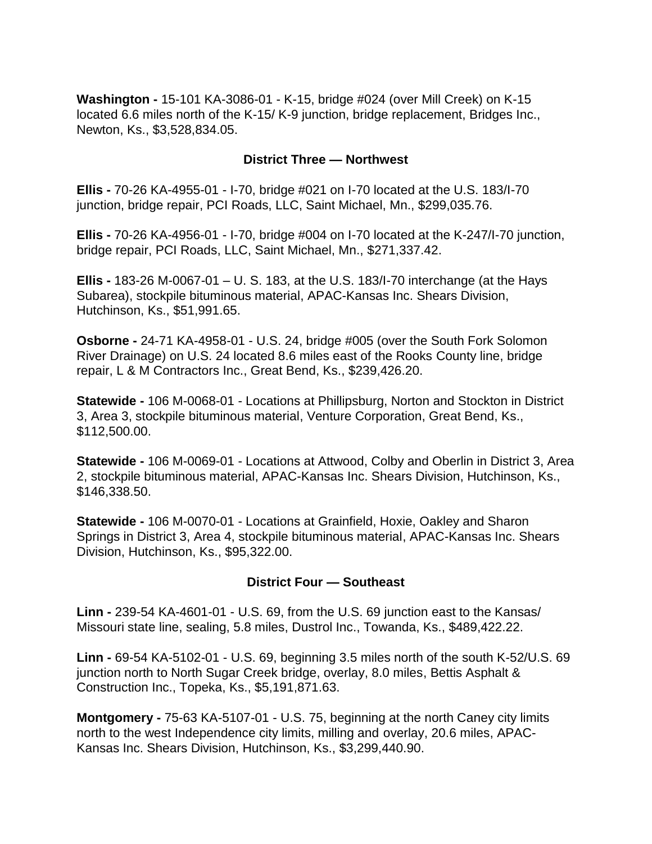**Washington -** 15-101 KA-3086-01 - K-15, bridge #024 (over Mill Creek) on K-15 located 6.6 miles north of the K-15/ K-9 junction, bridge replacement, Bridges Inc., Newton, Ks., \$3,528,834.05.

### **District Three — Northwest**

**Ellis -** 70-26 KA-4955-01 - I-70, bridge #021 on I-70 located at the U.S. 183/I-70 junction, bridge repair, PCI Roads, LLC, Saint Michael, Mn., \$299,035.76.

**Ellis -** 70-26 KA-4956-01 - I-70, bridge #004 on I-70 located at the K-247/I-70 junction, bridge repair, PCI Roads, LLC, Saint Michael, Mn., \$271,337.42.

**Ellis -** 183-26 M-0067-01 – U. S. 183, at the U.S. 183/I-70 interchange (at the Hays Subarea), stockpile bituminous material, APAC-Kansas Inc. Shears Division, Hutchinson, Ks., \$51,991.65.

**Osborne -** 24-71 KA-4958-01 - U.S. 24, bridge #005 (over the South Fork Solomon River Drainage) on U.S. 24 located 8.6 miles east of the Rooks County line, bridge repair, L & M Contractors Inc., Great Bend, Ks., \$239,426.20.

**Statewide -** 106 M-0068-01 - Locations at Phillipsburg, Norton and Stockton in District 3, Area 3, stockpile bituminous material, Venture Corporation, Great Bend, Ks., \$112,500.00.

**Statewide -** 106 M-0069-01 - Locations at Attwood, Colby and Oberlin in District 3, Area 2, stockpile bituminous material, APAC-Kansas Inc. Shears Division, Hutchinson, Ks., \$146,338.50.

**Statewide -** 106 M-0070-01 - Locations at Grainfield, Hoxie, Oakley and Sharon Springs in District 3, Area 4, stockpile bituminous material, APAC-Kansas Inc. Shears Division, Hutchinson, Ks., \$95,322.00.

#### **District Four — Southeast**

**Linn -** 239-54 KA-4601-01 - U.S. 69, from the U.S. 69 junction east to the Kansas/ Missouri state line, sealing, 5.8 miles, Dustrol Inc., Towanda, Ks., \$489,422.22.

**Linn -** 69-54 KA-5102-01 - U.S. 69, beginning 3.5 miles north of the south K-52/U.S. 69 junction north to North Sugar Creek bridge, overlay, 8.0 miles, Bettis Asphalt & Construction Inc., Topeka, Ks., \$5,191,871.63.

**Montgomery -** 75-63 KA-5107-01 - U.S. 75, beginning at the north Caney city limits north to the west Independence city limits, milling and overlay, 20.6 miles, APAC-Kansas Inc. Shears Division, Hutchinson, Ks., \$3,299,440.90.